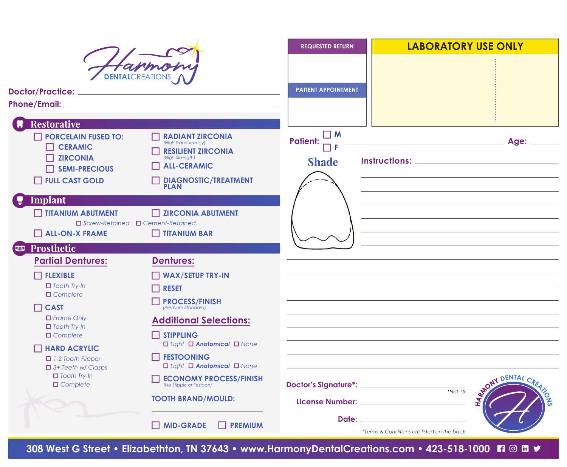|                                                                                         |                                                                                                                      | <b>REQUESTED RETURN</b>                                                       | <b>LABORATORY USE ONLY</b>                                                                                                                                                                                                                                                   |
|-----------------------------------------------------------------------------------------|----------------------------------------------------------------------------------------------------------------------|-------------------------------------------------------------------------------|------------------------------------------------------------------------------------------------------------------------------------------------------------------------------------------------------------------------------------------------------------------------------|
|                                                                                         |                                                                                                                      |                                                                               |                                                                                                                                                                                                                                                                              |
| <b>DENTALCREATIONS</b>                                                                  |                                                                                                                      |                                                                               |                                                                                                                                                                                                                                                                              |
|                                                                                         |                                                                                                                      | <b>PATIENT APPOINTMENT</b>                                                    |                                                                                                                                                                                                                                                                              |
| Phone/Email: _                                                                          |                                                                                                                      |                                                                               |                                                                                                                                                                                                                                                                              |
| <b>Restorative</b>                                                                      |                                                                                                                      |                                                                               |                                                                                                                                                                                                                                                                              |
| $\Box$ PORCELAIN FUSED TO:<br>$\Box$ CERAMIC<br>$\Box$ ZIRCONIA<br>$\Box$ SEMI-PRECIOUS | <b>RADIANT ZIRCONIA</b><br>(High Translucency)<br><b>RESILIENT ZIRCONIA</b><br>(High Strength)<br><b>ALL-CERAMIC</b> | □ M<br><b>Patient:</b><br><b>Shade</b>                                        |                                                                                                                                                                                                                                                                              |
| FULL CAST GOLD                                                                          | <b>DIAGNOSTIC/TREATMENT</b>                                                                                          |                                                                               |                                                                                                                                                                                                                                                                              |
|                                                                                         | <b>PLAN</b>                                                                                                          |                                                                               |                                                                                                                                                                                                                                                                              |
| Implant<br><b>TITANIUM ABUTMENT</b><br>$\Box$ Screw-Retained $\Box$ Cement-Retained     | <b>TEXPLOMIA ABUTMENT</b>                                                                                            |                                                                               |                                                                                                                                                                                                                                                                              |
| <b>I ALL-ON-X FRAME</b>                                                                 | TITANIUM BAR                                                                                                         |                                                                               |                                                                                                                                                                                                                                                                              |
| Prosthetic<br><b>BARB</b>                                                               |                                                                                                                      |                                                                               |                                                                                                                                                                                                                                                                              |
| <b>Partial Dentures:</b>                                                                | <b>Dentures:</b>                                                                                                     |                                                                               |                                                                                                                                                                                                                                                                              |
| $\Box$ FLEXIBLE                                                                         | <b>WAX/SETUP TRY-IN</b>                                                                                              |                                                                               |                                                                                                                                                                                                                                                                              |
| $\Box$ Tooth Try-In<br>$\Box$ Complete                                                  | <b>RESET</b>                                                                                                         |                                                                               |                                                                                                                                                                                                                                                                              |
| $\Box$ CAST                                                                             | <b>PROCESS/FINISH</b>                                                                                                |                                                                               |                                                                                                                                                                                                                                                                              |
| $\Box$ Frame Only<br>$\Box$ Tooth Try-In<br>$\Box$ Complete                             | <b>Additional Selections:</b><br>$\Box$ STIPPLING                                                                    |                                                                               |                                                                                                                                                                                                                                                                              |
| $\Box$ HARD ACRYLIC                                                                     | □ Light □ Anatomical □ None                                                                                          |                                                                               |                                                                                                                                                                                                                                                                              |
| $\Box$ 1-2 Tooth Flipper<br>$\Box$ 3+ Teeth w/ Clasps                                   | <b>FESTOONING</b><br>□ Light □ Anatomical □ None                                                                     |                                                                               |                                                                                                                                                                                                                                                                              |
| $\Box$ Tooth Try-In<br>$\Box$ Complete                                                  | <b>ECONOMY PROCESS/FINISH</b>                                                                                        | Doctor's Signature*: _______________                                          | STRONG DENTAL CRA<br>$*$ Net 15                                                                                                                                                                                                                                              |
|                                                                                         | <b>TOOTH BRAND/MOULD:</b>                                                                                            | License Number: National Assembly Property and Assembly Property and Assembly | ONS                                                                                                                                                                                                                                                                          |
|                                                                                         | <b>MID-GRADE</b><br>$\Box$ PREMIUM                                                                                   |                                                                               | Date: the contract of the contract of the contract of the contract of the contract of the contract of the contract of the contract of the contract of the contract of the contract of the contract of the contract of the cont<br>*Terms & Conditions are listed on the back |

**308 West G Street • Elizabethton, TN 37643 • www.HarmonyDentalCreations.com • 423-518-1000**